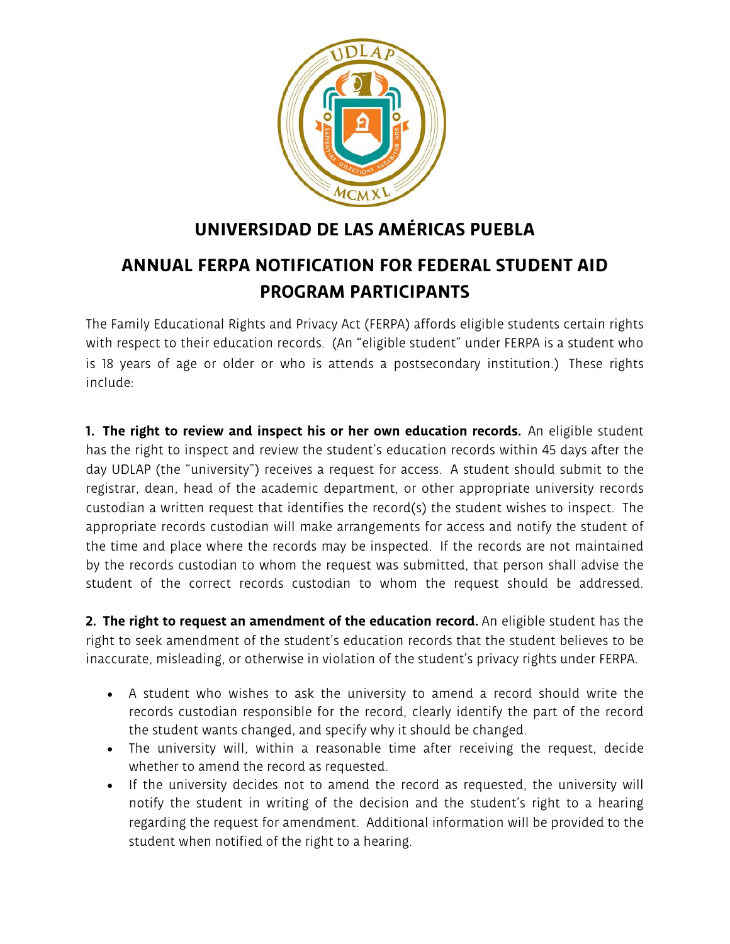

## **UNIVERSIDAD DE LAS AMÉRICAS PUEBLA**

## **ANNUAL FERPA NOTIFICATION FOR FEDERAL STUDENT AID PROGRAM PARTICIPANTS**

The Family Educational Rights and Privacy Act (FERPA) affords eligible students certain rights with respect to their education records. (An "eligible student" under FERPA is a student who is 18 years of age or older or who is attends a postsecondary institution.) These rights include:

**1. The right to review and inspect his or her own education records.** An eligible student has the right to inspect and review the student's education records within 45 days after the day UDLAP (the "university") receives a request for access. A student should submit to the registrar, dean, head of the academic department, or other appropriate university records custodian a written request that identifies the record(s) the student wishes to inspect. The appropriate records custodian will make arrangements for access and notify the student of the time and place where the records may be inspected. If the records are not maintained by the records custodian to whom the request was submitted, that person shall advise the student of the correct records custodian to whom the request should be addressed.

**2. The right to request an amendment of the education record.** An eligible student has the right to seek amendment of the student's education records that the student believes to be inaccurate, misleading, or otherwise in violation of the student's privacy rights under FERPA.

- A student who wishes to ask the university to amend a record should write the records custodian responsible for the record, clearly identify the part of the record the student wants changed, and specify why it should be changed.
- The university will, within a reasonable time after receiving the request, decide whether to amend the record as requested.
- If the university decides not to amend the record as requested, the university will notify the student in writing of the decision and the student's right to a hearing regarding the request for amendment. Additional information will be provided to the student when notified of the right to a hearing.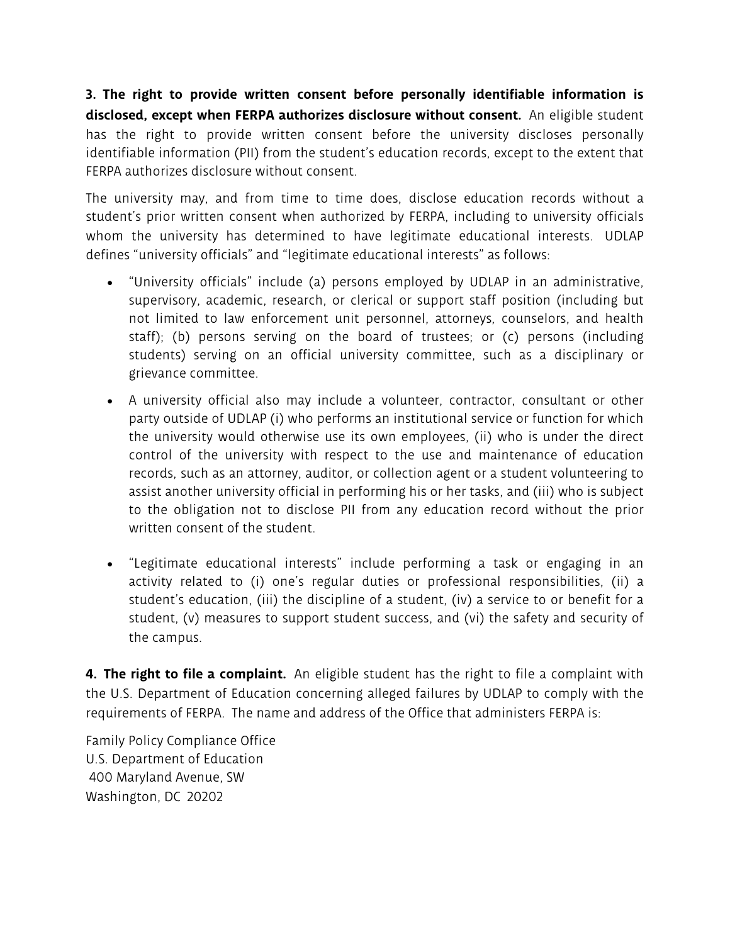**3. The right to provide written consent before personally identifiable information is disclosed, except when FERPA authorizes disclosure without consent.** An eligible student has the right to provide written consent before the university discloses personally identifiable information (PII) from the student's education records, except to the extent that FERPA authorizes disclosure without consent.

The university may, and from time to time does, disclose education records without a student's prior written consent when authorized by FERPA, including to university officials whom the university has determined to have legitimate educational interests. UDLAP defines "university officials" and "legitimate educational interests" as follows:

- "University officials" include (a) persons employed by UDLAP in an administrative, supervisory, academic, research, or clerical or support staff position (including but not limited to law enforcement unit personnel, attorneys, counselors, and health staff); (b) persons serving on the board of trustees; or (c) persons (including students) serving on an official university committee, such as a disciplinary or grievance committee.
- A university official also may include a volunteer, contractor, consultant or other party outside of UDLAP (i) who performs an institutional service or function for which the university would otherwise use its own employees, (ii) who is under the direct control of the university with respect to the use and maintenance of education records, such as an attorney, auditor, or collection agent or a student volunteering to assist another university official in performing his or her tasks, and (iii) who is subject to the obligation not to disclose PII from any education record without the prior written consent of the student.
- "Legitimate educational interests" include performing a task or engaging in an activity related to (i) one's regular duties or professional responsibilities, (ii) a student's education, (iii) the discipline of a student, (iv) a service to or benefit for a student, (v) measures to support student success, and (vi) the safety and security of the campus.

**4. The right to file a complaint.** An eligible student has the right to file a complaint with the U.S. Department of Education concerning alleged failures by UDLAP to comply with the requirements of FERPA. The name and address of the Office that administers FERPA is:

Family Policy Compliance Office U.S. Department of Education 400 Maryland Avenue, SW Washington, DC 20202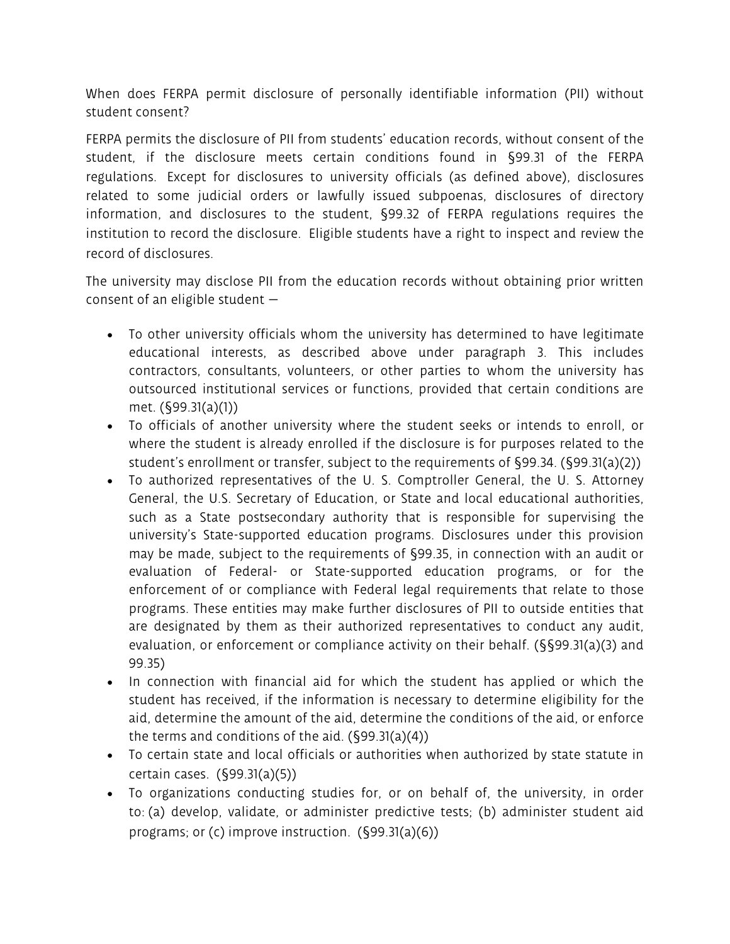When does FERPA permit disclosure of personally identifiable information (PII) without student consent?

FERPA permits the disclosure of PII from students' education records, without consent of the student, if the disclosure meets certain conditions found in §99.31 of the FERPA regulations. Except for disclosures to university officials (as defined above), disclosures related to some judicial orders or lawfully issued subpoenas, disclosures of directory information, and disclosures to the student, §99.32 of FERPA regulations requires the institution to record the disclosure. Eligible students have a right to inspect and review the record of disclosures.

The university may disclose PII from the education records without obtaining prior written consent of an eligible student  $-$ 

- To other university officials whom the university has determined to have legitimate educational interests, as described above under paragraph 3. This includes contractors, consultants, volunteers, or other parties to whom the university has outsourced institutional services or functions, provided that certain conditions are met. (§99.31(a)(1))
- To officials of another university where the student seeks or intends to enroll, or where the student is already enrolled if the disclosure is for purposes related to the student's enrollment or transfer, subject to the requirements of §99.34. (§99.31(a)(2))
- To authorized representatives of the U. S. Comptroller General, the U. S. Attorney General, the U.S. Secretary of Education, or State and local educational authorities, such as a State postsecondary authority that is responsible for supervising the university's State-supported education programs. Disclosures under this provision may be made, subject to the requirements of §99.35, in connection with an audit or evaluation of Federal- or State-supported education programs, or for the enforcement of or compliance with Federal legal requirements that relate to those programs. These entities may make further disclosures of PII to outside entities that are designated by them as their authorized representatives to conduct any audit, evaluation, or enforcement or compliance activity on their behalf. (§§99.31(a)(3) and 99.35)
- In connection with financial aid for which the student has applied or which the student has received, if the information is necessary to determine eligibility for the aid, determine the amount of the aid, determine the conditions of the aid, or enforce the terms and conditions of the aid. (§99.31(a)(4))
- To certain state and local officials or authorities when authorized by state statute in certain cases. (§99.31(a)(5))
- To organizations conducting studies for, or on behalf of, the university, in order to: (a) develop, validate, or administer predictive tests; (b) administer student aid programs; or (c) improve instruction. (§99.31(a)(6))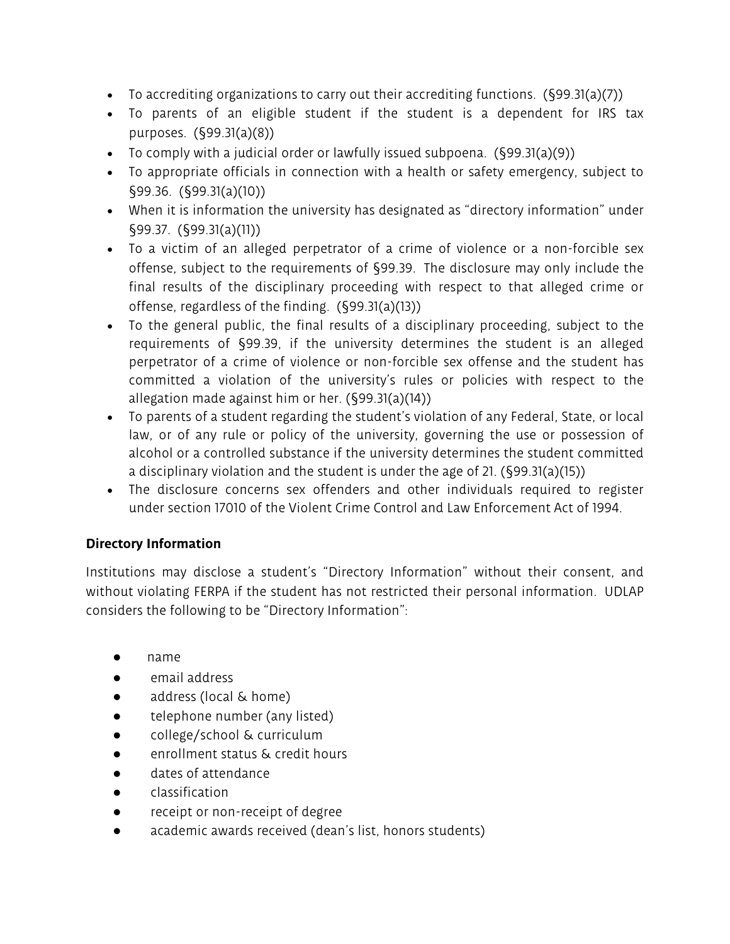- To accrediting organizations to carry out their accrediting functions.  $(\S 99.31(a)(7))$
- To parents of an eligible student if the student is a dependent for IRS tax purposes. (§99.31(a)(8))
- To comply with a judicial order or lawfully issued subpoena. (§99.31(a)(9))
- To appropriate officials in connection with a health or safety emergency, subject to §99.36. (§99.31(a)(10))
- When it is information the university has designated as "directory information" under §99.37. (§99.31(a)(11))
- To a victim of an alleged perpetrator of a crime of violence or a non-forcible sex offense, subject to the requirements of §99.39. The disclosure may only include the final results of the disciplinary proceeding with respect to that alleged crime or offense, regardless of the finding. (§99.31(a)(13))
- To the general public, the final results of a disciplinary proceeding, subject to the requirements of §99.39, if the university determines the student is an alleged perpetrator of a crime of violence or non-forcible sex offense and the student has committed a violation of the university's rules or policies with respect to the allegation made against him or her. (§99.31(a)(14))
- To parents of a student regarding the student's violation of any Federal, State, or local law, or of any rule or policy of the university, governing the use or possession of alcohol or a controlled substance if the university determines the student committed a disciplinary violation and the student is under the age of 21. (§99.31(a)(15))
- The disclosure concerns sex offenders and other individuals required to register under section 17010 of the Violent Crime Control and Law Enforcement Act of 1994.

## **Directory Information**

Institutions may disclose a student's "Directory Information" without their consent, and without violating FERPA if the student has not restricted their personal information. UDLAP considers the following to be "Directory Information":

- name
- email address
- address (local & home)
- telephone number (any listed)
- college/school & curriculum
- enrollment status & credit hours
- dates of attendance
- classification
- receipt or non-receipt of degree
- academic awards received (dean's list, honors students)